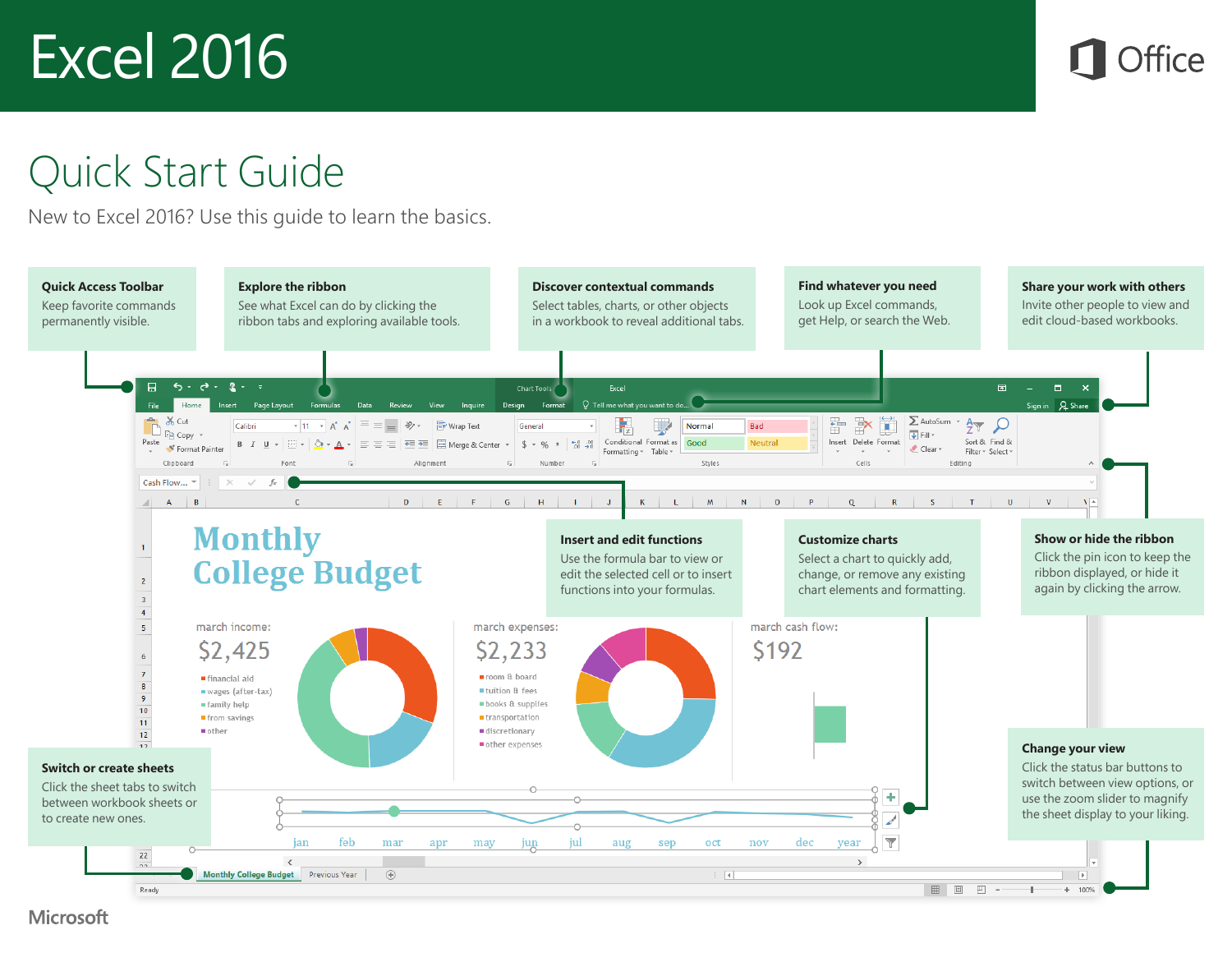

## Quick Start Guide

New to Excel 2016? Use this guide to learn the basics.

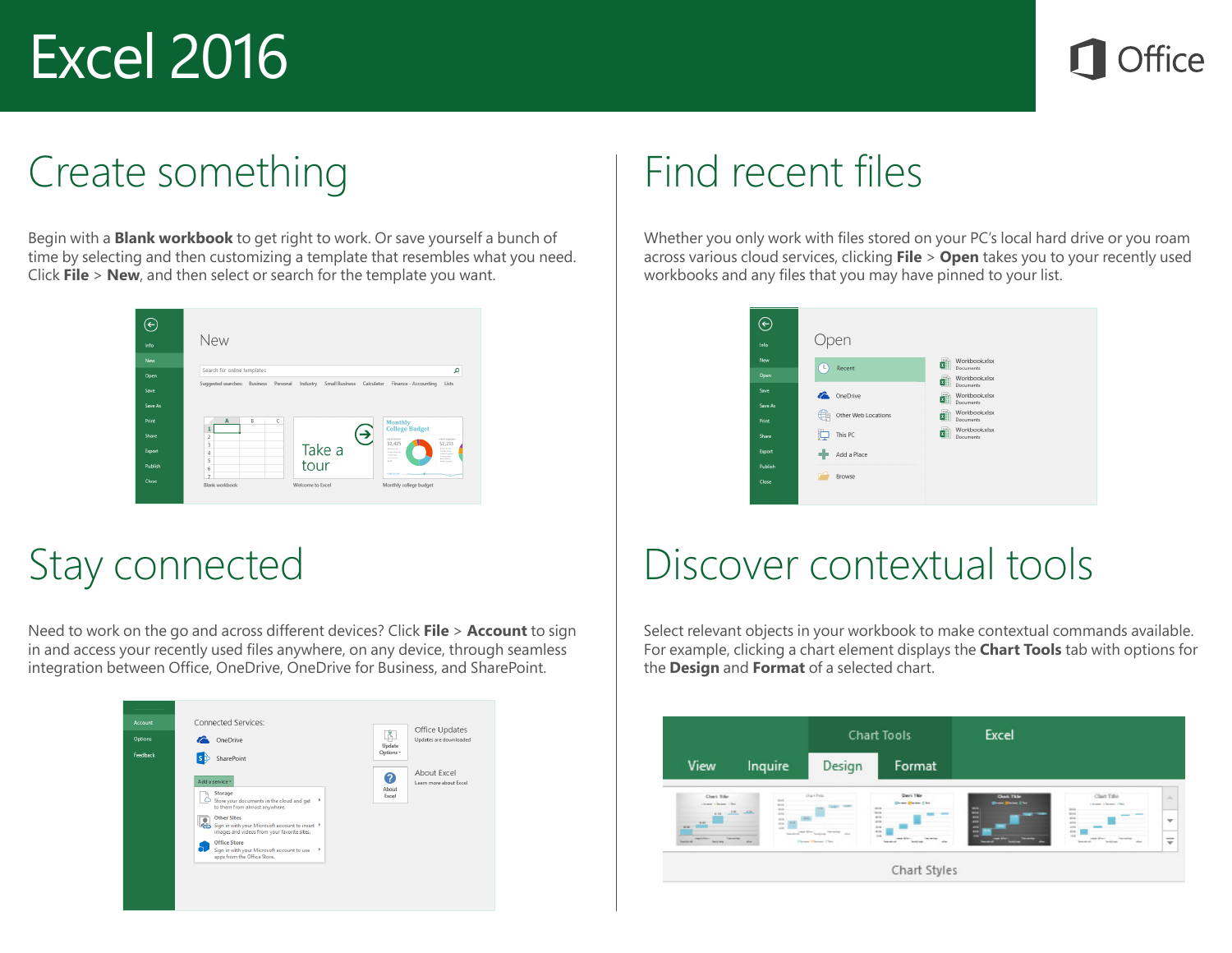

### Create something

Begin with a **Blank workbook** to get right to work. Or save yourself a bunch of time by selecting and then customizing a template that resembles what you need. Click **File** > **New**, and then select or search for the template you want.

|                                   | New                         |          |          |                            |            |                                                                                                                                                                                                            |
|-----------------------------------|-----------------------------|----------|----------|----------------------------|------------|------------------------------------------------------------------------------------------------------------------------------------------------------------------------------------------------------------|
| Info                              |                             |          |          |                            |            |                                                                                                                                                                                                            |
| New                               |                             |          |          |                            |            |                                                                                                                                                                                                            |
| Open                              | Search for online templates |          |          |                            |            | م                                                                                                                                                                                                          |
|                                   | Suggested searches:         | Business | Personal | Small Business<br>Industry | Calculator | Finance - Accounting<br>Lists                                                                                                                                                                              |
|                                   | $\overline{A}$<br>4         | B        | ċ        |                            |            | <b>Monthly</b>                                                                                                                                                                                             |
| Save<br>Save As<br>Print<br>Share | 1<br>$\overline{2}$         |          |          |                            | ₹          | <b>College Budget</b><br>manh income<br>minth assumption                                                                                                                                                   |
| Export                            | з<br>4                      |          |          | Take a<br>tour             |            | \$2,425<br>\$2,233<br><b>Contract</b><br>· Installation<br><b>Kindler &amp; Road</b><br><b>Forest School</b><br><b>Kingdom Mc Location</b><br>a turn too<br><b>All and Call Card</b><br>A Southern Country |

## Stay connected

Need to work on the go and across different devices? Click **File** > **Account** to sign in and access your recently used files anywhere, on any device, through seamless integration between Office, OneDrive, OneDrive for Business, and SharePoint.



## Find recent files

Whether you only work with files stored on your PC's local hard drive or you roam across various cloud services, clicking **File** > **Open** takes you to your recently used workbooks and any files that you may have pinned to your list.



## Discover contextual tools

Select relevant objects in your workbook to make contextual commands available. For example, clicking a chart element displays the **Chart Tools** tab with options for the **Design** and **Format** of a selected chart.

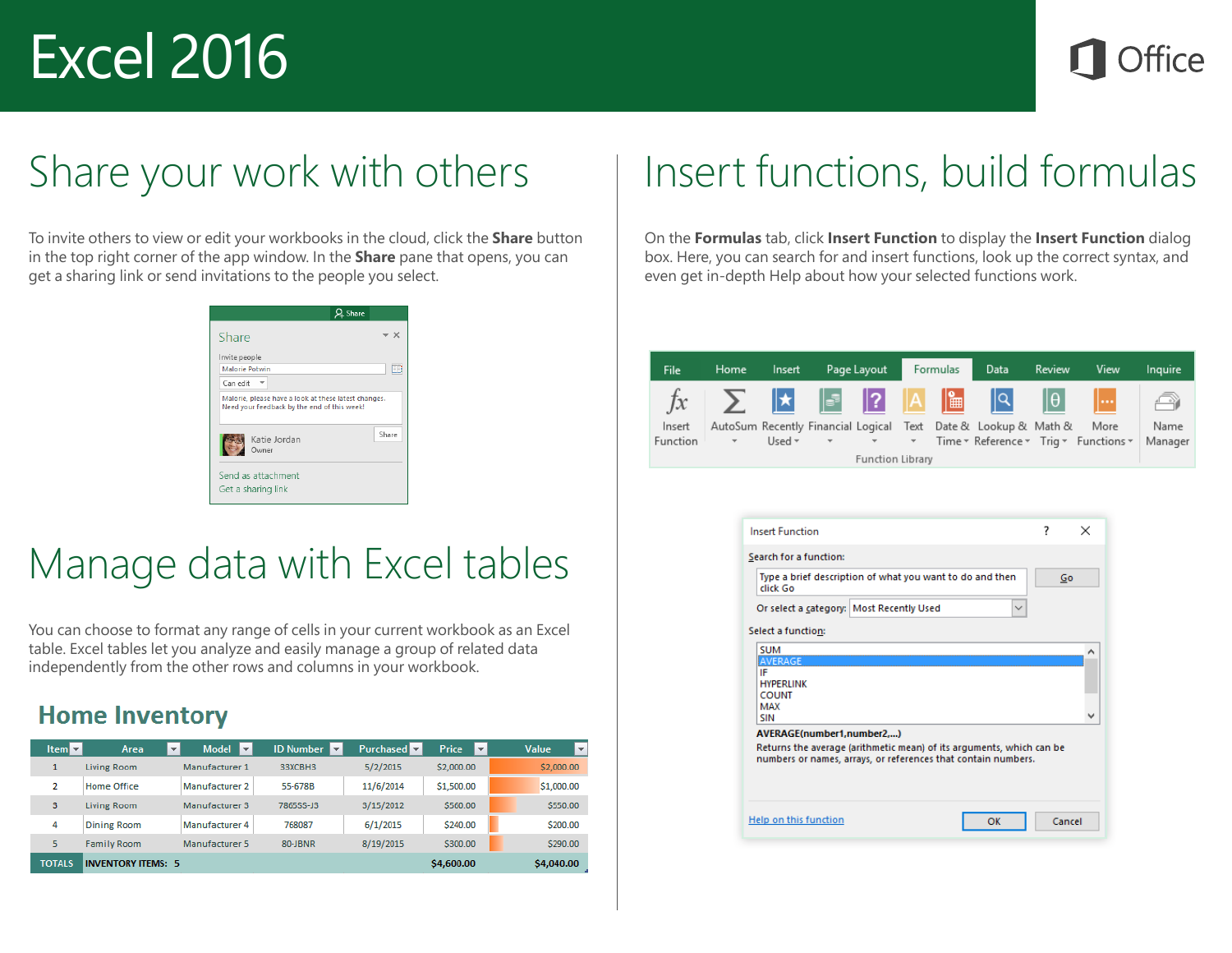## Share your work with others

To invite others to view or edit your workbooks in the cloud, click the **Share** button in the top right corner of the app window. In the **Share** pane that opens, you can get a sharing link or send invitations to the people you select.

| Invite people                                                                                       |  |       |
|-----------------------------------------------------------------------------------------------------|--|-------|
| <b>Malorie Potwin</b>                                                                               |  | EB    |
| Can edit                                                                                            |  |       |
|                                                                                                     |  |       |
| Malorie, please have a look at these latest changes.<br>Need your feedback by the end of this week! |  |       |
| Katie Jordan                                                                                        |  | Share |

## Manage data with Excel tables

You can choose to format any range of cells in your current workbook as an Excel table. Excel tables let you analyze and easily manage a group of related data independently from the other rows and columns in your workbook.

### **Home Inventory**

| $Item \nightharpoonup k$ | $\overline{\mathbf{v}}$<br>Area | Model $\overline{\mathbf{v}}$ | <b>ID Number</b> | <b>Purchased</b> | <b>Price</b><br>l v | Value<br>$\overline{\phantom{a}}$ |
|--------------------------|---------------------------------|-------------------------------|------------------|------------------|---------------------|-----------------------------------|
|                          | Living Room                     | Manufacturer 1                | 33XCBH3          | 5/2/2015         | \$2,000.00          | \$2,000.00                        |
| 2                        | <b>Home Office</b>              | Manufacturer 2                | 55-678B          | 11/6/2014        | \$1,500.00          | \$1,000.00                        |
| 3                        | Living Room                     | Manufacturer 3                | 7865SS-J3        | 3/15/2012        | \$560.00            | \$550.00                          |
| 4                        | <b>Dining Room</b>              | Manufacturer 4                | 768087           | 6/1/2015         | \$240.00            | \$200.00                          |
| 5                        | <b>Family Room</b>              | Manufacturer 5                | 80-JBNR          | 8/19/2015        | \$300.00            | \$290.00                          |
| <b>TOTALS</b>            | <b>INVENTORY ITEMS: 5</b>       |                               |                  |                  | \$4,600.00          | \$4,040.00                        |

## Insert functions, build formulas

On the **Formulas** tab, click **Insert Function** to display the **Insert Function** dialog box. Here, you can search for and insert functions, look up the correct syntax, and even get in-depth Help about how your selected functions work.

| File     | Home.  | Insert      |               | Page Layout             |                          | Formulas | <b>Data</b>                                                    | Review | View                                  | Inquire |
|----------|--------|-------------|---------------|-------------------------|--------------------------|----------|----------------------------------------------------------------|--------|---------------------------------------|---------|
| $f_X$    |        |             |               |                         |                          |          | $ \mathsf{Q} $                                                 | llθ l  | $\mathbf{L}$                          |         |
| Insert   |        |             |               |                         |                          |          | AutoSum Recently Financial Logical Text Date & Lookup & Math & |        | More                                  | Name    |
| Function | $\tau$ | Used $\tau$ | $\mathcal{L}$ | <b>Contract State</b>   | $\overline{\phantom{a}}$ |          |                                                                |        | Time ▼ Reference ▼ Trig ▼ Functions ▼ | Manager |
|          |        |             |               | <b>Function Library</b> |                          |          |                                                                |        |                                       |         |

| <b>Insert Function</b>                                                                                                                                             | 7      | $\times$ |
|--------------------------------------------------------------------------------------------------------------------------------------------------------------------|--------|----------|
| Search for a function:                                                                                                                                             |        |          |
| Type a brief description of what you want to do and then<br>click Go                                                                                               | Go     |          |
| Or select a category: Most Recently Used<br>$\checkmark$                                                                                                           |        |          |
| Select a function:                                                                                                                                                 |        |          |
| <b>SUM</b><br>AVERAGE<br>IF<br><b>HYPERLINK</b><br><b>COUNT</b><br><b>MAX</b><br><b>SIN</b>                                                                        |        | ́        |
| AVERAGE(number1,number2,)<br>Returns the average (arithmetic mean) of its arguments, which can be<br>numbers or names, arrays, or references that contain numbers. |        |          |
| Help on this function<br>ок                                                                                                                                        | Cancel |          |